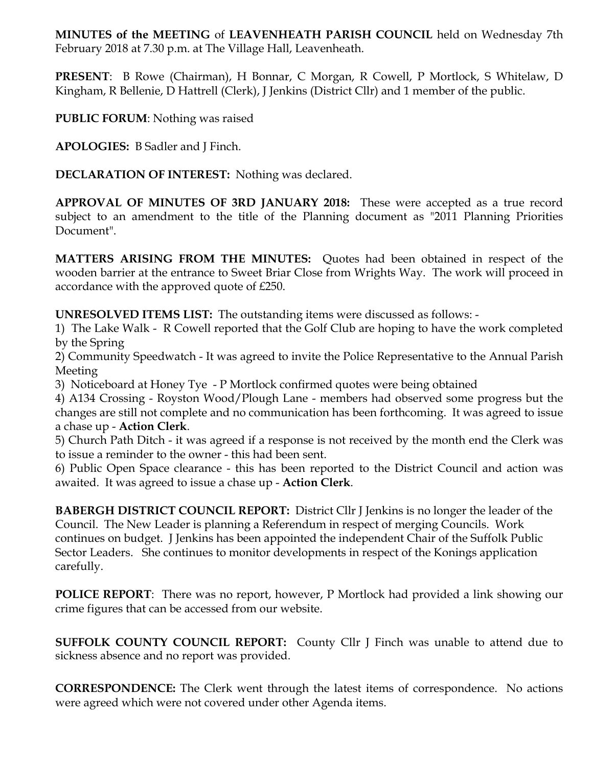**MINUTES of the MEETING** of **LEAVENHEATH PARISH COUNCIL** held on Wednesday 7th February 2018 at 7.30 p.m. at The Village Hall, Leavenheath.

**PRESENT**: B Rowe (Chairman), H Bonnar, C Morgan, R Cowell, P Mortlock, S Whitelaw, D Kingham, R Bellenie, D Hattrell (Clerk), J Jenkins (District Cllr) and 1 member of the public.

**PUBLIC FORUM**: Nothing was raised

**APOLOGIES:** B Sadler and J Finch.

**DECLARATION OF INTEREST:** Nothing was declared.

**APPROVAL OF MINUTES OF 3RD JANUARY 2018:** These were accepted as a true record subject to an amendment to the title of the Planning document as "2011 Planning Priorities Document".

**MATTERS ARISING FROM THE MINUTES:** Quotes had been obtained in respect of the wooden barrier at the entrance to Sweet Briar Close from Wrights Way. The work will proceed in accordance with the approved quote of £250.

**UNRESOLVED ITEMS LIST:** The outstanding items were discussed as follows: -

1) The Lake Walk - R Cowell reported that the Golf Club are hoping to have the work completed by the Spring

2) Community Speedwatch - It was agreed to invite the Police Representative to the Annual Parish Meeting

3) Noticeboard at Honey Tye - P Mortlock confirmed quotes were being obtained

4) A134 Crossing - Royston Wood/Plough Lane - members had observed some progress but the changes are still not complete and no communication has been forthcoming. It was agreed to issue a chase up - **Action Clerk**.

5) Church Path Ditch - it was agreed if a response is not received by the month end the Clerk was to issue a reminder to the owner - this had been sent.

6) Public Open Space clearance - this has been reported to the District Council and action was awaited. It was agreed to issue a chase up - **Action Clerk**.

**BABERGH DISTRICT COUNCIL REPORT:** District Cllr J Jenkins is no longer the leader of the Council. The New Leader is planning a Referendum in respect of merging Councils. Work continues on budget. J Jenkins has been appointed the independent Chair of the Suffolk Public Sector Leaders. She continues to monitor developments in respect of the Konings application carefully.

**POLICE REPORT**: There was no report, however, P Mortlock had provided a link showing our crime figures that can be accessed from our website.

**SUFFOLK COUNTY COUNCIL REPORT:** County Cllr J Finch was unable to attend due to sickness absence and no report was provided.

**CORRESPONDENCE:** The Clerk went through the latest items of correspondence. No actions were agreed which were not covered under other Agenda items.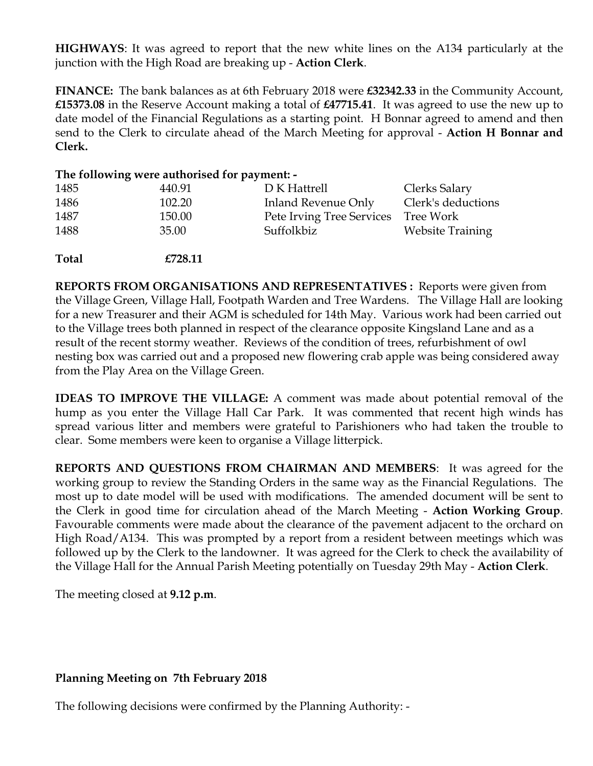**HIGHWAYS**: It was agreed to report that the new white lines on the A134 particularly at the junction with the High Road are breaking up - **Action Clerk**.

**FINANCE:** The bank balances as at 6th February 2018 were **£32342.33** in the Community Account, **£15373.08** in the Reserve Account making a total of **£47715.41**. It was agreed to use the new up to date model of the Financial Regulations as a starting point. H Bonnar agreed to amend and then send to the Clerk to circulate ahead of the March Meeting for approval - **Action H Bonnar and Clerk.** 

|              | The following were authorised for payment: - |                            |                         |
|--------------|----------------------------------------------|----------------------------|-------------------------|
| 1485         | 440.91                                       | D K Hattrell               | Clerks Salary           |
| 1486         | 102.20                                       | <b>Inland Revenue Only</b> | Clerk's deductions      |
| 1487         | 150.00                                       | Pete Irving Tree Services  | Tree Work               |
| 1488         | 35.00                                        | Suffolkbiz                 | <b>Website Training</b> |
| <b>Total</b> | £728.11                                      |                            |                         |

**REPORTS FROM ORGANISATIONS AND REPRESENTATIVES :** Reports were given from the Village Green, Village Hall, Footpath Warden and Tree Wardens. The Village Hall are looking for a new Treasurer and their AGM is scheduled for 14th May. Various work had been carried out to the Village trees both planned in respect of the clearance opposite Kingsland Lane and as a result of the recent stormy weather. Reviews of the condition of trees, refurbishment of owl nesting box was carried out and a proposed new flowering crab apple was being considered away from the Play Area on the Village Green.

**IDEAS TO IMPROVE THE VILLAGE:** A comment was made about potential removal of the hump as you enter the Village Hall Car Park.It was commented that recent high winds has spread various litter and members were grateful to Parishioners who had taken the trouble to clear. Some members were keen to organise a Village litterpick.

**REPORTS AND QUESTIONS FROM CHAIRMAN AND MEMBERS**: It was agreed for the working group to review the Standing Orders in the same way as the Financial Regulations. The most up to date model will be used with modifications. The amended document will be sent to the Clerk in good time for circulation ahead of the March Meeting - **Action Working Group**. Favourable comments were made about the clearance of the pavement adjacent to the orchard on High Road/A134. This was prompted by a report from a resident between meetings which was followed up by the Clerk to the landowner. It was agreed for the Clerk to check the availability of the Village Hall for the Annual Parish Meeting potentially on Tuesday 29th May - **Action Clerk**.

The meeting closed at **9.12 p.m**.

## **Planning Meeting on 7th February 2018**

The following decisions were confirmed by the Planning Authority: -